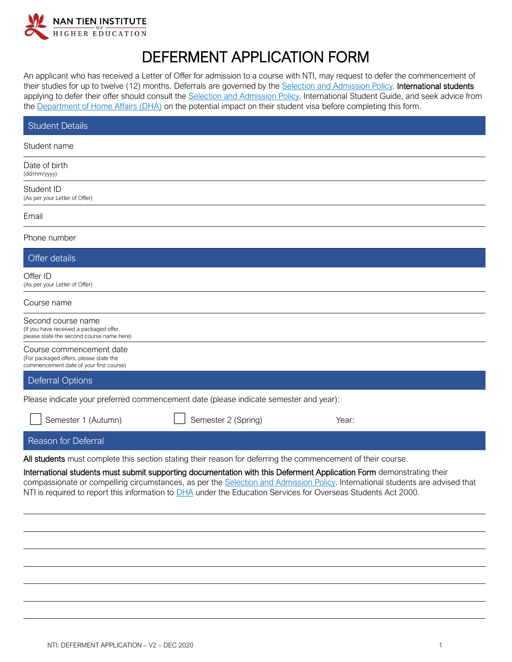

## DEFERMENT APPLICATION FORM

An applicant who has received a Letter of Offer for admission to a course with NTI, may request to defer the commencement of their studies for up to twelve (12) months. Deferrals are governed by the [Selection and Admission Policy.](https://policy.nantien.edu.au/student-services/selection-and-admission-policy) International students applying to defer their offer should consult the [Selection and Admission Policy,](https://policy.nantien.edu.au/student-services/selection-and-admission-policy) International Student Guide, and seek advice from the [Department of Home Affairs \(DHA\)](https://www.homeaffairs.gov.au/) on the potential impact on their student visa before completing this form.

| Student Details                                                                                                                                                                                                                                                                                                                                                         |  |  |  |  |
|-------------------------------------------------------------------------------------------------------------------------------------------------------------------------------------------------------------------------------------------------------------------------------------------------------------------------------------------------------------------------|--|--|--|--|
| Student name                                                                                                                                                                                                                                                                                                                                                            |  |  |  |  |
| Date of birth<br>(dd/mm/yyyy)                                                                                                                                                                                                                                                                                                                                           |  |  |  |  |
| Student ID<br>(As per your Letter of Offer)                                                                                                                                                                                                                                                                                                                             |  |  |  |  |
| Email                                                                                                                                                                                                                                                                                                                                                                   |  |  |  |  |
| Phone number                                                                                                                                                                                                                                                                                                                                                            |  |  |  |  |
| Offer details                                                                                                                                                                                                                                                                                                                                                           |  |  |  |  |
| Offer ID<br>(As per your Letter of Offer)                                                                                                                                                                                                                                                                                                                               |  |  |  |  |
| Course name                                                                                                                                                                                                                                                                                                                                                             |  |  |  |  |
| Second course name<br>(If you have received a packaged offer,<br>please state the second course name here)                                                                                                                                                                                                                                                              |  |  |  |  |
| Course commencement date<br>(For packaged offers, please state the<br>commencement date of your first course)                                                                                                                                                                                                                                                           |  |  |  |  |
| <b>Deferral Options</b>                                                                                                                                                                                                                                                                                                                                                 |  |  |  |  |
| Please indicate your preferred commencement date (please indicate semester and year):                                                                                                                                                                                                                                                                                   |  |  |  |  |
| Semester 2 (Spring)<br>Semester 1 (Autumn)<br>Year:                                                                                                                                                                                                                                                                                                                     |  |  |  |  |
| Reason for Deferral                                                                                                                                                                                                                                                                                                                                                     |  |  |  |  |
| All students must complete this section stating their reason for deferring the commencement of their course.                                                                                                                                                                                                                                                            |  |  |  |  |
| International students must submit supporting documentation with this Deferment Application Form demonstrating their<br>compassionate or compelling circumstances, as per the Selection and Admission Policy. International students are advised that<br>NTI is required to report this information to DHA under the Education Services for Overseas Students Act 2000. |  |  |  |  |
|                                                                                                                                                                                                                                                                                                                                                                         |  |  |  |  |
|                                                                                                                                                                                                                                                                                                                                                                         |  |  |  |  |
|                                                                                                                                                                                                                                                                                                                                                                         |  |  |  |  |